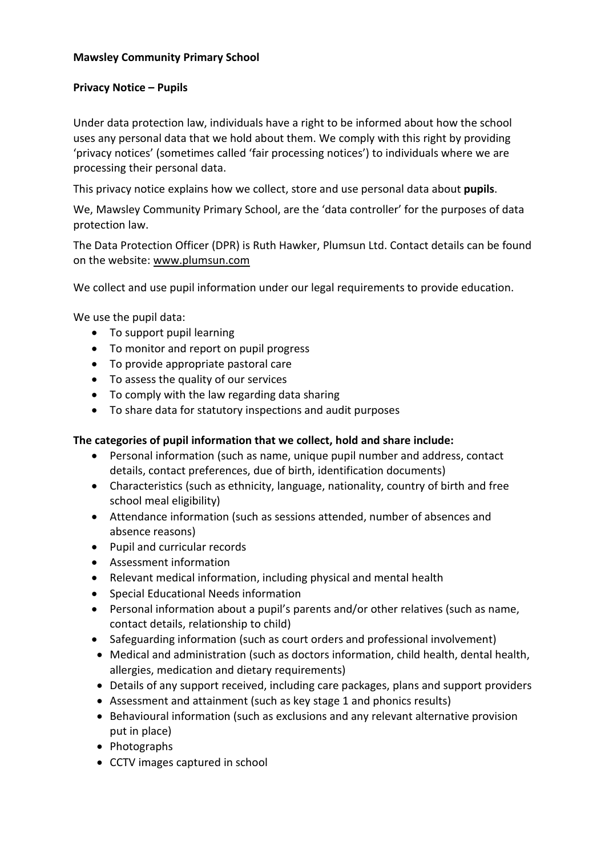#### **Mawsley Community Primary School**

#### **Privacy Notice – Pupils**

Under data protection law, individuals have a right to be informed about how the school uses any personal data that we hold about them. We comply with this right by providing 'privacy notices' (sometimes called 'fair processing notices') to individuals where we are processing their personal data.

This privacy notice explains how we collect, store and use personal data about **pupils**.

We, Mawsley Community Primary School, are the 'data controller' for the purposes of data protection law.

The Data Protection Officer (DPR) is Ruth Hawker, Plumsun Ltd. Contact details can be found on the website: [www.plumsun.com](http://www.plumsun.com/)

We collect and use pupil information under our legal requirements to provide education.

We use the pupil data:

- To support pupil learning
- To monitor and report on pupil progress
- To provide appropriate pastoral care
- To assess the quality of our services
- To comply with the law regarding data sharing
- To share data for statutory inspections and audit purposes

#### **The categories of pupil information that we collect, hold and share include:**

- Personal information (such as name, unique pupil number and address, contact details, contact preferences, due of birth, identification documents)
- Characteristics (such as ethnicity, language, nationality, country of birth and free school meal eligibility)
- Attendance information (such as sessions attended, number of absences and absence reasons)
- Pupil and curricular records
- Assessment information
- Relevant medical information, including physical and mental health
- Special Educational Needs information
- Personal information about a pupil's parents and/or other relatives (such as name, contact details, relationship to child)
- Safeguarding information (such as court orders and professional involvement)
- Medical and administration (such as doctors information, child health, dental health, allergies, medication and dietary requirements)
- Details of any support received, including care packages, plans and support providers
- Assessment and attainment (such as key stage 1 and phonics results)
- Behavioural information (such as exclusions and any relevant alternative provision put in place)
- Photographs
- CCTV images captured in school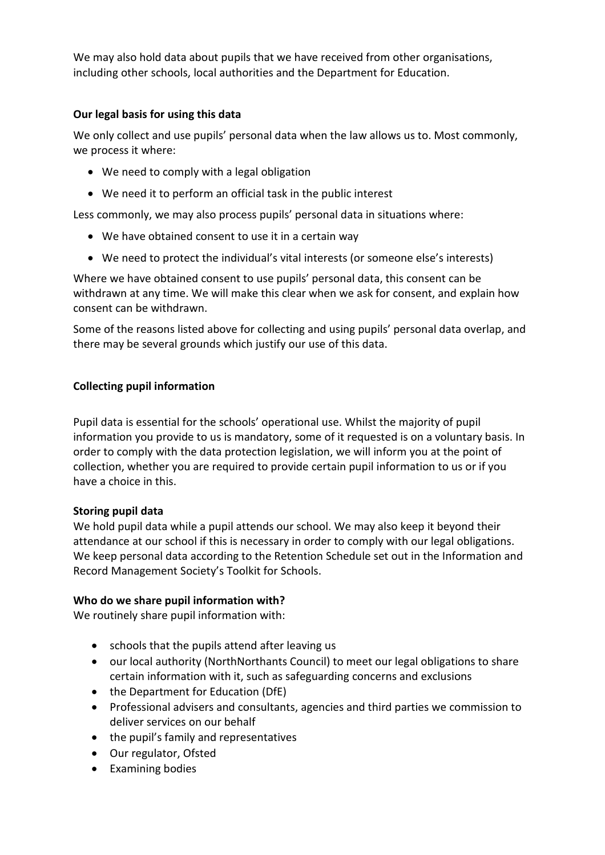We may also hold data about pupils that we have received from other organisations, including other schools, local authorities and the Department for Education.

# **Our legal basis for using this data**

We only collect and use pupils' personal data when the law allows us to. Most commonly, we process it where:

- We need to comply with a legal obligation
- We need it to perform an official task in the public interest

Less commonly, we may also process pupils' personal data in situations where:

- We have obtained consent to use it in a certain way
- We need to protect the individual's vital interests (or someone else's interests)

Where we have obtained consent to use pupils' personal data, this consent can be withdrawn at any time. We will make this clear when we ask for consent, and explain how consent can be withdrawn.

Some of the reasons listed above for collecting and using pupils' personal data overlap, and there may be several grounds which justify our use of this data.

# **Collecting pupil information**

Pupil data is essential for the schools' operational use. Whilst the majority of pupil information you provide to us is mandatory, some of it requested is on a voluntary basis. In order to comply with the data protection legislation, we will inform you at the point of collection, whether you are required to provide certain pupil information to us or if you have a choice in this.

# **Storing pupil data**

We hold pupil data while a pupil attends our school. We may also keep it beyond their attendance at our school if this is necessary in order to comply with our legal obligations. We keep personal data according to the Retention Schedule set out in the Information and Record Management Society's Toolkit for Schools.

# **Who do we share pupil information with?**

We routinely share pupil information with:

- schools that the pupils attend after leaving us
- our local authority (NorthNorthants Council) to meet our legal obligations to share certain information with it, such as safeguarding concerns and exclusions
- the Department for Education (DfE)
- Professional advisers and consultants, agencies and third parties we commission to deliver services on our behalf
- the pupil's family and representatives
- Our regulator, Ofsted
- Examining bodies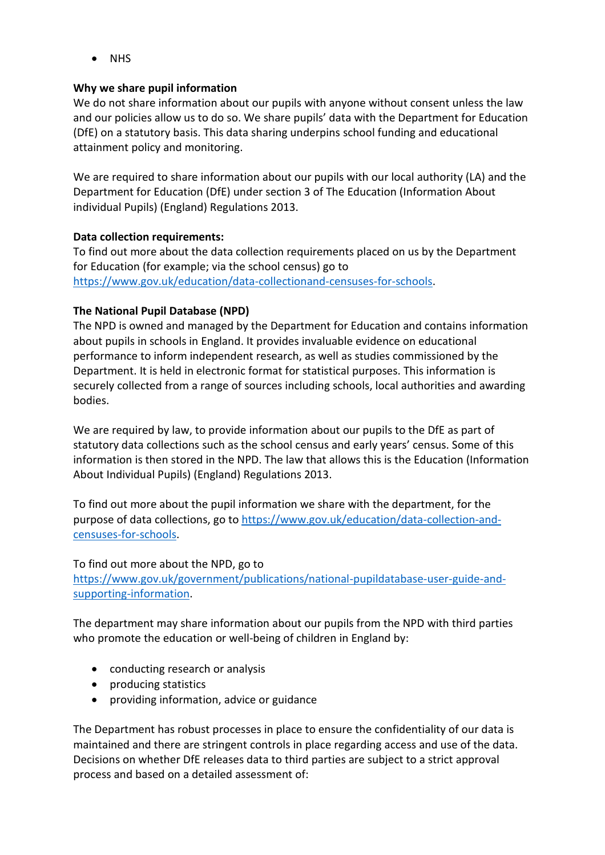• NHS

# **Why we share pupil information**

We do not share information about our pupils with anyone without consent unless the law and our policies allow us to do so. We share pupils' data with the Department for Education (DfE) on a statutory basis. This data sharing underpins school funding and educational attainment policy and monitoring.

We are required to share information about our pupils with our local authority (LA) and the Department for Education (DfE) under section 3 of The Education (Information About individual Pupils) (England) Regulations 2013.

# **Data collection requirements:**

To find out more about the data collection requirements placed on us by the Department for Education (for example; via the school census) go to [https://www.gov.uk/education/data-collectionand-censuses-for-schools.](https://www.gov.uk/education/data-collectionand-censuses-for-schools)

# **The National Pupil Database (NPD)**

The NPD is owned and managed by the Department for Education and contains information about pupils in schools in England. It provides invaluable evidence on educational performance to inform independent research, as well as studies commissioned by the Department. It is held in electronic format for statistical purposes. This information is securely collected from a range of sources including schools, local authorities and awarding bodies.

We are required by law, to provide information about our pupils to the DfE as part of statutory data collections such as the school census and early years' census. Some of this information is then stored in the NPD. The law that allows this is the Education (Information About Individual Pupils) (England) Regulations 2013.

To find out more about the pupil information we share with the department, for the purpose of data collections, go to [https://www.gov.uk/education/data-collection-and](https://www.gov.uk/education/data-collection-and-censuses-for-schools)[censuses-for-schools.](https://www.gov.uk/education/data-collection-and-censuses-for-schools)

To find out more about the NPD, go to [https://www.gov.uk/government/publications/national-pupildatabase-user-guide-and](https://www.gov.uk/government/publications/national-pupildatabase-user-guide-and-supporting-information)[supporting-information.](https://www.gov.uk/government/publications/national-pupildatabase-user-guide-and-supporting-information)

The department may share information about our pupils from the NPD with third parties who promote the education or well-being of children in England by:

- conducting research or analysis
- producing statistics
- providing information, advice or guidance

The Department has robust processes in place to ensure the confidentiality of our data is maintained and there are stringent controls in place regarding access and use of the data. Decisions on whether DfE releases data to third parties are subject to a strict approval process and based on a detailed assessment of: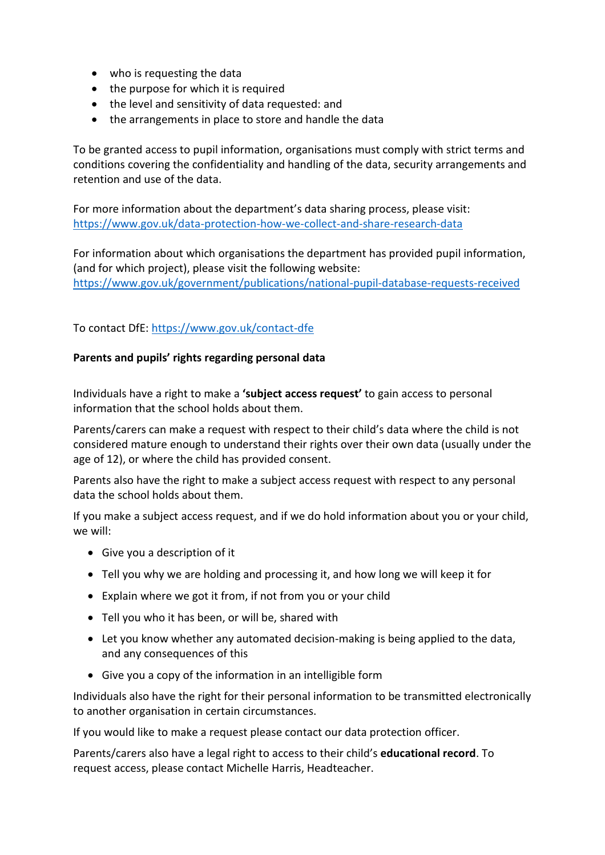- who is requesting the data
- the purpose for which it is required
- the level and sensitivity of data requested: and
- the arrangements in place to store and handle the data

To be granted access to pupil information, organisations must comply with strict terms and conditions covering the confidentiality and handling of the data, security arrangements and retention and use of the data.

For more information about the department's data sharing process, please visit: <https://www.gov.uk/data-protection-how-we-collect-and-share-research-data>

For information about which organisations the department has provided pupil information, (and for which project), please visit the following website: <https://www.gov.uk/government/publications/national-pupil-database-requests-received>

# To contact DfE: <https://www.gov.uk/contact-dfe>

#### **Parents and pupils' rights regarding personal data**

Individuals have a right to make a **'subject access request'** to gain access to personal information that the school holds about them.

Parents/carers can make a request with respect to their child's data where the child is not considered mature enough to understand their rights over their own data (usually under the age of 12), or where the child has provided consent.

Parents also have the right to make a subject access request with respect to any personal data the school holds about them.

If you make a subject access request, and if we do hold information about you or your child, we will:

- Give you a description of it
- Tell you why we are holding and processing it, and how long we will keep it for
- Explain where we got it from, if not from you or your child
- Tell you who it has been, or will be, shared with
- Let you know whether any automated decision-making is being applied to the data, and any consequences of this
- Give you a copy of the information in an intelligible form

Individuals also have the right for their personal information to be transmitted electronically to another organisation in certain circumstances.

If you would like to make a request please contact our data protection officer.

Parents/carers also have a legal right to access to their child's **educational record**. To request access, please contact Michelle Harris, Headteacher.